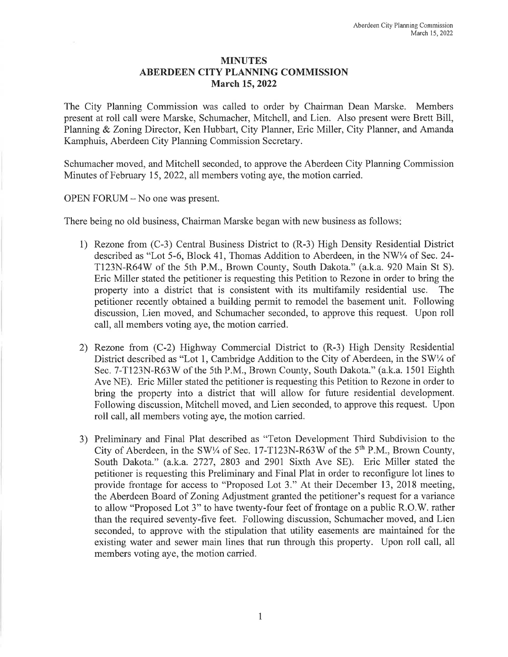## MINUTES ABERDEEN CITY PLANNING COMMISSION March 15, 2022

The City Planning Commission was called to order by Chairman Dean Marske. Members present at roll call were Marske, Schumacher, Mitchell, and Lien. Also present were Brett Bill, Planning & Zoning Director, Ken Hubbart, City Planner, Eric Miller, City Planner, and Amanda Kamphuis, Aberdeen City Planning Commission Secretary.

Schumacher moved, and Mitchell seconded, to approve the Aberdeen City Planning Commission Minutes of February 15, 2022, all members voting aye, the motion carried.

## OPEN FORUM - No one was present.

There being no old business, Chairman Marske began with new business as follows:

- 1) Rezone from (C-3) Central Business District to (R-3) High Density Residential District described as "Lot 5-6, Block 41, Thomas Addition to Aberdeen, in the NW1/4 of Sec. 24-T123N-R64W of the 5th P.M., Brown County, South Dakota." (a.k.a. 920 Main St S). Eric Miller stated the petitioner is requesting this Petition to Rezone in order to bring the property into a district that is consistent with its multifamily residential use. The petitioner recently obtained a building permit to remodel the basement unit. Following discussion, Lien moved, and Schumacher seconded, to approve this request. Upon roll call, all members voting aye, the motion carried.
- 2) Rezone from (C-2) Highway Commercial District to (R-3) High Density Residential District described as "Lot 1, Cambridge Addition to the City of Aberdeen, in the SW $\frac{1}{4}$  of Sec. 7-T123N-R63W of the 5th P.M., Brown County, South Dakota." (a.k.a. 1501 Eighth Ave NE). Eric Miller stated the petitioner is requesting this Petition to Rezone in order to bring the property into a district that will allow for future residential development. Following discussion, Mitchell moved, and Lien seconded, to approve this request. Upon roll call, all members voting aye, the motion carried.
- 3) Preliminary and Final Plat described as "Teton Development Third Subdivision to the City of Aberdeen, in the SW1/4 of Sec. 17-T123N-R63W of the  $5<sup>th</sup>$  P.M., Brown County, South Dakota." (a.k.a. 2727, 2803 and 2901 Sixth Ave SE). Eric Miller stated the petitioner is requesting this Preliminary and Final Plat in order to reconfigure lot lines to provide frontage for access to "Proposed Lot 3." At their December 13, 2018 meeting, the Aberdeen Board of Zoning Adjustment granted the petitioner's request for <sup>a</sup> variance to allow "Proposed Lot 3" to have twenty-four feet of frontage on <sup>a</sup> public R.O.W. rather than the required seventy-five feet. Following discussion, Schumacher moved, and Lien seconded, to approve with the stipulation that utility easements are maintained for the existing water and sewer main lines that run through this property. Upon roll call, all members voting aye, the motion carried.